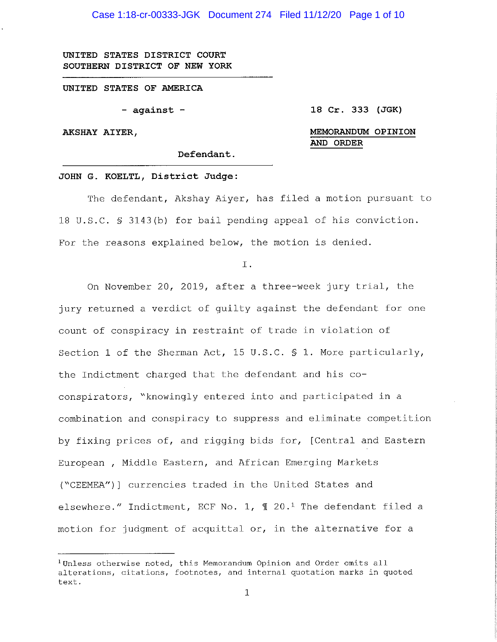Case 1:18-cr-00333-JGK Document 274 Filed 11/12/20 Page 1 of 10

**UNITED STATES DISTRICT COURT SOUTHERN DISTRICT OF NEW YORK** 

**UNITED STATES OF AMERICA** 

- **against** -

**18 Cr. 333 (JGK)** 

**AKSHAY AIYER,** 

**MEMORANDUM OPINION AND ORDER** 

**Defendant.** 

#### **JOHN G. KOELTL, District Judge:**

The defendant, Akshay Aiyer, has filed a motion pursuant to 18 U.S.C. § 3143(b) for bail pending appeal of his conviction. For the reasons explained below, the motion is denied.

I.

On November 20, 2019, after a three-week jury trial, the jury returned a verdict of guilty against the defendant for one count of conspiracy in restraint of trade in violation of Section 1 of the Sherman Act, 15 U.S.C. § 1. More particularly, the Indictment charged that the defendant and his coconspirators, "knowingly entered into and participated in a combination and conspiracy to suppress and eliminate competition by fixing prices of, and rigging bids for, [Central and Eastern European, Middle Eastern, and African Emerging Markets ("CEEMEA")] currencies traded in the United States and elsewhere." Indictment, ECF No. 1,  $\text{I}$  20.<sup>1</sup> The defendant filed a motion for judgment of acquittal or, in the alternative for a

<sup>&</sup>lt;sup>1</sup>Unless otherwise noted, this Memorandum Opinion and Order omits all alterations, citations, footnotes, and internal quotation marks in quoted text.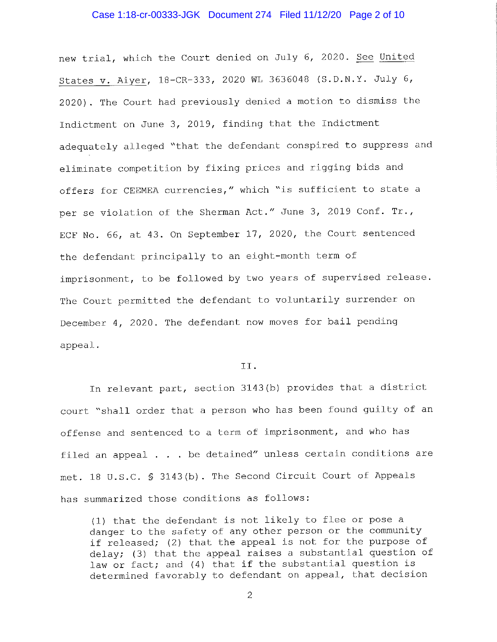## Case 1:18-cr-00333-JGK Document 274 Filed 11/12/20 Page 2 of 10

new trial, which the Court denied on July 6, 2020. See United States v. Aiyer, 18-CR-333, 2020 WL 3636048 (S.D.N.Y. July 6, 2020). The Court had previously denied a motion to dismiss the Indictment on June 3, 2019, finding that the Indictment adequately alleged "that the defendant conspired to suppress and eliminate competition by fixing prices and rigging bids and offers for CEEMEA currencies," which "is sufficient to state a per se violation of the Sherman Act." June 3, 2019 Conf. Tr., ECF No. 66, at 43. On September 17, 2020, the Court sentenced the defendant principally to an eight-month term of imprisonment, to be followed by two years of supervised release. The Court permitted the defendant to voluntarily surrender on December 4, 2020. The defendant now moves for bail pending appeal.

### II.

In relevant part, section 3143(b) provides that a district court "shall order that a person who has been found guilty of an offense and sentenced to a term of imprisonment, and who has filed an appeal  $\ldots$  be detained" unless certain conditions are met. 18 U.S.C. § 3143(b). The Second Circuit Court of Appeals has summarized those conditions as follows:

(1) that the defendant is not likely to flee or pose a danger to the safety of any other person or the community if released; (2) that the appeal is not for the purpose of delay; (3) that the appeal raises a substantial question of law or fact; and (4) that if the substantial question is determined favorably to defendant on appeal, that decision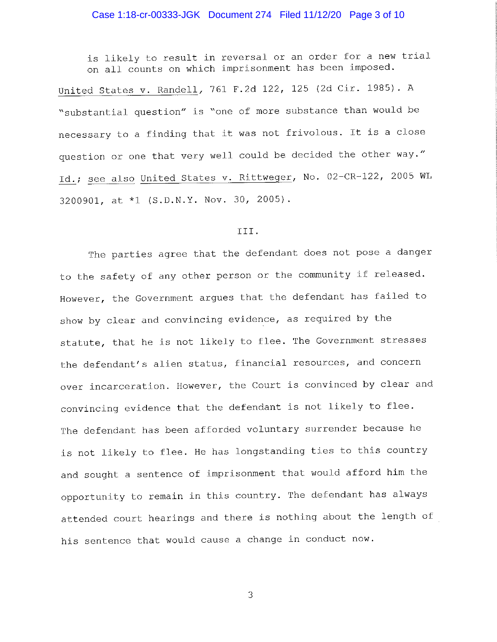# Case 1:18-cr-00333-JGK Document 274 Filed 11/12/20 Page 3 of 10

is likely to result in reversal or an order for a new trial on all counts on which imprisonment has been imposed.

United States v. Randell, 761 F.2d 122, 125 (2d Cir. 1985). <sup>A</sup> "substantial question" is "one of more substance than would be necessary to a finding that it was not frivolous. It is a close question or one that very well could be decided the other way." Id.; see also United States v. Rittweger, No. 02-CR-122, 2005 WL 3200901, at \*l (S.D.N.Y. Nov. 30, 2005).

#### III.

The parties agree that the defendant does not pose a danger to the safety of any other person or the community if released. However, the Government argues that the defendant has failed to show by clear and convincing evidence, as required by the statute, that he is not likely to flee. The Government stresses the defendant's alien status, financial resources, and concern over incarceration. However, the Court is convinced by clear and convincing evidence that the defendant is not likely to flee. The defendant has been afforded voluntary surrender because he is not likely to flee. He has longstanding ties to this country and sought a sentence of imprisonment that would afford him the opportunity to remain in this country. The defendant has always attended court hearings and there is nothing about the length of his sentence that would cause a change in conduct now.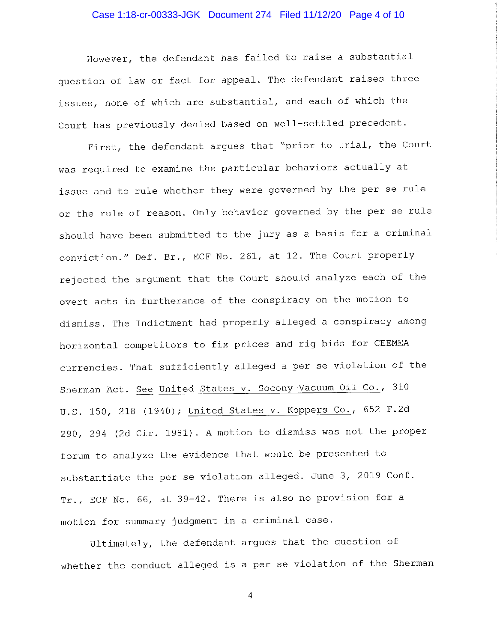## Case 1:18-cr-00333-JGK Document 274 Filed 11/12/20 Page 4 of 10

However, the defendant has failed to raise a substantial question of law or fact for appeal. The defendant raises three issues, none of which are substantial, and each of which the Court has previously denied based on well-settled precedent.

First, the defendant argues that "prior to trial, the Court was required to examine the particular behaviors actually at issue and to rule whether they were governed by the per se rule or the rule of reason. Only behavior governed by the per se rule should have been submitted to the jury as <sup>a</sup>basis for a criminal conviction." Def. Br., ECF No. 261, at 12. The Court properly rejected the argument that the Court should analyze each of the overt acts in furtherance of the conspiracy on the motion to dismiss. The Indictment had properly alleged a conspiracy among horizontal competitors to fix prices and rig bids for CEEMEA currencies. That sufficiently alleged a per se violation of the Sherman Act. See United States v. Socony-Vacuum Oil Co., <sup>310</sup> U.S. 150, 218 (1940); United States v. Koppers Co., 652 F.2d 290, 294 (2d Cir. 1981). A motion to dismiss was not the proper forum to analyze the evidence that would be presented to substantiate the per se violation alleged. June 3, 2019 Conf. Tr., ECF No. 66, at 39-42. There is also no provision for <sup>a</sup> motion for summary judgment in a criminal case.

Ultimately, the defendant argues that the question of whether the conduct alleged is a per se violation of the Sherman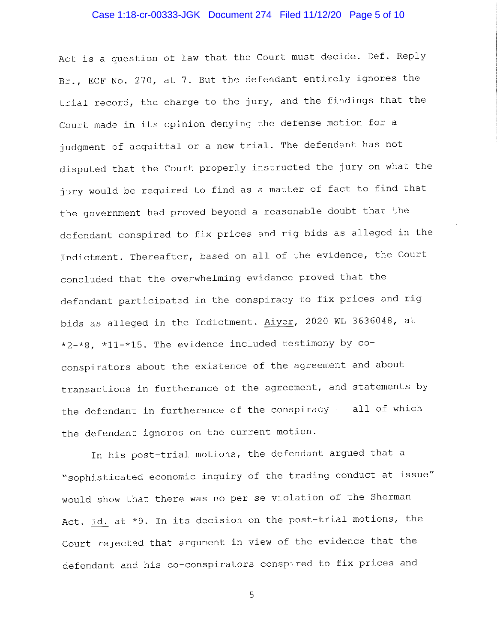## Case 1:18-cr-00333-JGK Document 274 Filed 11/12/20 Page 5 of 10

Act is a question of law that the Court must decide. Def. Reply Br., ECF No. 270, at 7. But the defendant entirely ignores the trial record, the charge to the jury, and the findings that the Court made in its opinion denying the defense motion for <sup>a</sup> judgment of acquittal or a new trial. The defendant has not disputed that the Court properly instructed the jury on what the jury would be required to find as a matter of fact to find that the government had proved beyond a reasonable doubt that the defendant conspired to fix prices and rig bids as alleged in the Indictment. Thereafter, based on all of the evidence, the Court concluded that the overwhelming evidence proved that the defendant participated in the conspiracy to fix prices and rig bids as alleged in the Indictment. Aiyer, 2020 WL 3636048, at \*2-\*8, \*11-\*15. The evidence included testimony by  $co$ conspirators about the existence of the agreement and about transactions in furtherance of the agreement, and statements by the defendant in furtherance of the conspiracy -- all of which the defendant ignores on the current motion.

In his post-trial motions, the defendant argued that <sup>a</sup> "sophisticated economic inquiry of the trading conduct at issue" would show that there was no per se violation of the Sherman Act. Id. at \*9. In its decision on the post-trial motions, the Court rejected that argument in view of the evidence that the defendant and his co-conspirators conspired to fix prices and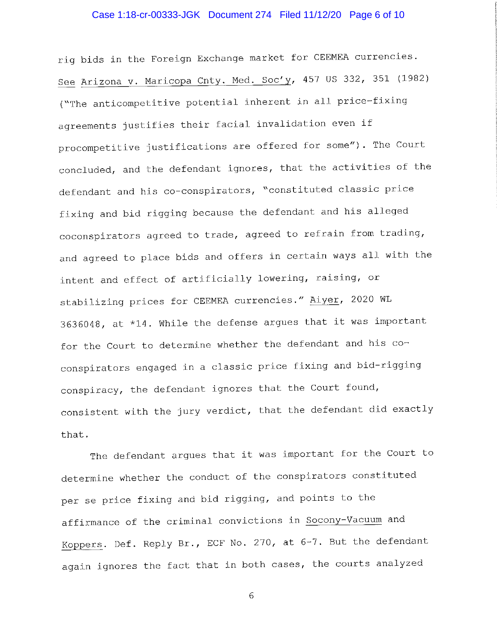## Case 1:18-cr-00333-JGK Document 274 Filed 11/12/20 Page 6 of 10

rig bids in the Foreign Exchange market for CEEMEA currencies. See Arizona v. Maricopa Cnty. Med. Soc'y, 457 US 332, 351 (1982) ("The anticompetitive potential inherent in all price-fixing agreements justifies their facial invalidation even if procompetitive justifications are offered for some"). The Court concluded, and the defendant ignores, that the activities of the defendant and his co-conspirators, "constituted classic price fixing and bid rigging because the defendant and his alleged coconspirators agreed to trade, agreed to refrain from trading, and agreed to place bids and offers in certain ways all with the intent and effect of artificially lowering, raising, or stabilizing prices for CEEMEA currencies." Aiyer, 2020 WL 3636048, at \*14. While the defense argues that it was important for the Court to determine whether the defendant and his coconspirators engaged in a classic price fixing and bid-rigging conspiracy, the defendant ignores that the Court found, consistent with the jury verdict, that the defendant did exactly that.

The defendant argues that it was important for the Court to determine whether the conduct of the conspirators constituted per se price fixing and bid rigging, and points to the affirmance of the criminal convictions in Socony-Vacuum and Koppers. Def. Reply Br., ECF No. 270, at 6-7. But the defendant again ignores the fact that in both cases, the courts analyzed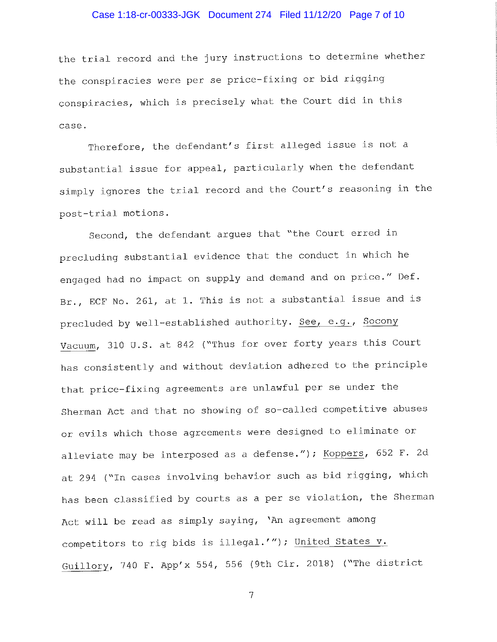## Case 1:18-cr-00333-JGK Document 274 Filed 11/12/20 Page 7 of 10

the trial record and the jury instructions to determine whether the conspiracies were per se price-fixing or bid rigging conspiracies, which is precisely what the Court did in this case.

Therefore, the defendant's first alleged issue is not <sup>a</sup> substantial issue for appeal, particularly when the defendant simply ignores the trial record and the Court's reasoning in the post-trial motions.

Second, the defendant argues that "the Court erred in precluding substantial evidence that the conduct in which he engaged had no impact on supply and demand and on price." Def. Br., ECF No. 261, at 1. This is not a substantial issue and is precluded by well-established authority. See, e.g., Socony Vacuum, 310 U.S. at 842 ("Thus for over forty years this Court has consistently and without deviation adhered to the principle that price-fixing agreements are unlawful per se under the Sherman Act and that no showing of so-called competitive abuses or evils which those agreements were designed to eliminate or alleviate may be interposed as a defense."); Koppers, 652 F. 2d at 294 ("In cases involving behavior such as bid rigging, which has been classified by courts as a per se violation, the Sherman Act will be read as simply saying, 'An agreement among competitors to rig bids is illegal.'"); United States v. Guillory, 740 F. App'x 554, 556 (9th Cir. 2018) ("The district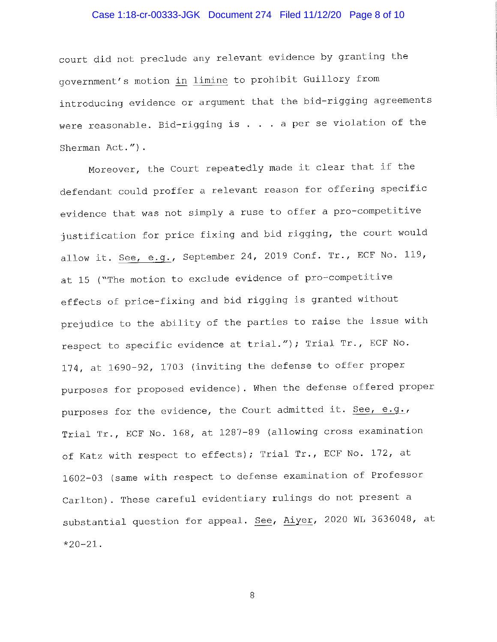# Case 1:18-cr-00333-JGK Document 274 Filed 11/12/20 Page 8 of 10

court did not preclude any relevant evidence by granting the government's motion in limine to prohibit Guillory from introducing evidence or argument that the bid-rigging agreements were reasonable. Bid-rigging is  $\dots$  . a per se violation of the Sherman Act.").

Moreover, the Court repeatedly made it clear that if the defendant could proffer a relevant reason for offering specific evidence that was not simply a ruse to offer a pro-competitive justification for price fixing and bid rigging, the court would allow it. See, e.g., September 24, 2019 Conf. Tr., ECF No. 119, at 15 ("The motion to exclude evidence of pro-competitive effects of price-fixing and bid rigging is granted without prejudice to the ability of the parties to raise the issue with respect to specific evidence at trial."); Trial Tr., ECF No. 174, at 1690-92, 1703 (inviting the defense to offer proper purposes for proposed evidence). When the defense offered proper purposes for the evidence, the Court admitted it. See, e.g., Trial Tr., ECF No. 168, at 1287-89 (allowing cross examination of Katz with respect to effects); Trial Tr., ECF No. 172, at 1602-03 (same with respect to defense examination of Professor Carlton). These careful evidentiary rulings do not present <sup>a</sup> substantial question for appeal. See, Aiyer, 2020 WL 3636048, at \*20-21.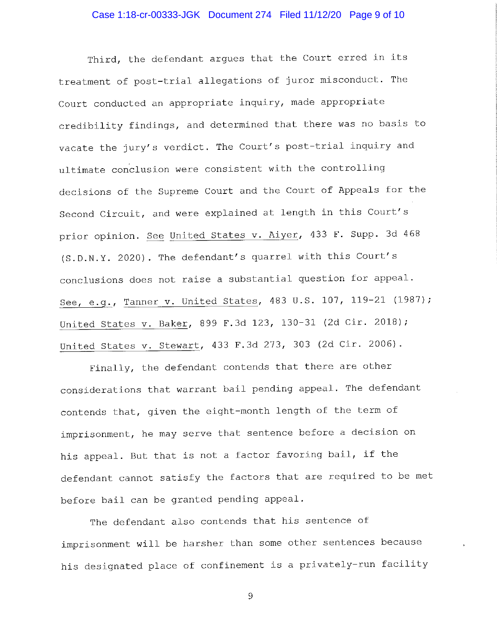## Case 1:18-cr-00333-JGK Document 274 Filed 11/12/20 Page 9 of 10

Third, the defendant argues that the Court erred in its treatment of post-trial allegations of juror misconduct. The Court conducted an appropriate inquiry, made appropriate credibility findings, and determined that there was no basis to vacate the jury's verdict. The Court's post-trial inquiry and ultimate conclusion were consistent with the controlling decisions of the Supreme Court and the Court of Appeals for the Second Circuit, and were explained at length in this Court's prior opinion. See United States v. Aiyer, 433 F. Supp. 3d 468 (S.D.N.Y. 2020). The defendant's quarrel with this Court's conclusions does not raise a substantial question for appeal. See, e.g., Tanner v. United States, 483 U.S. 107, 119-21 (1987); United States v. Baker, 899 F.3d 123, 130-31 (2d Cir. 2018); United States v. Stewart, 433 F.3d 273, 303 (2d Cir. 2006).

Finally, the defendant contends that there are other considerations that warrant bail pending appeal. The defendant contends that, given the eight-month length of the term of imprisonment, he may serve that sentence before a decision on his appeal. But that is not a factor favoring bail, if the defendant cannot satisfy the factors that are required to be met before bail can be granted pending appeal.

The defendant also contends that his sentence of imprisonment will be harsher than some other sentences because his designated place of confinement is a privately-run facility